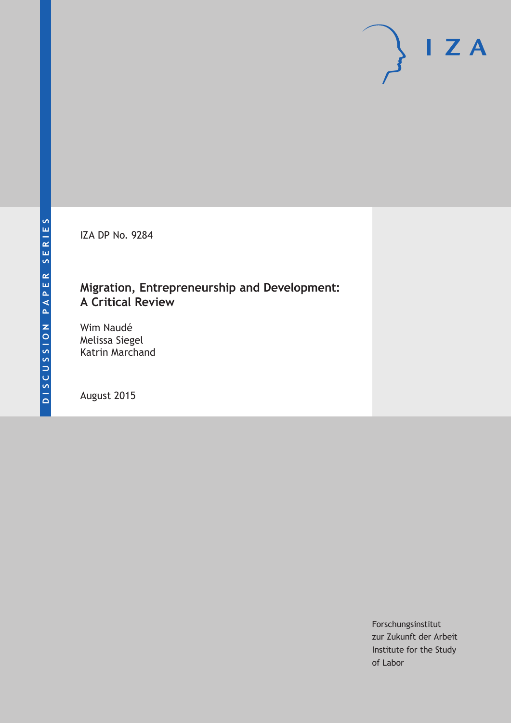IZA DP No. 9284

# **Migration, Entrepreneurship and Development: A Critical Review**

Wim Naudé Melissa Siegel Katrin Marchand

August 2015

Forschungsinstitut zur Zukunft der Arbeit Institute for the Study of Labor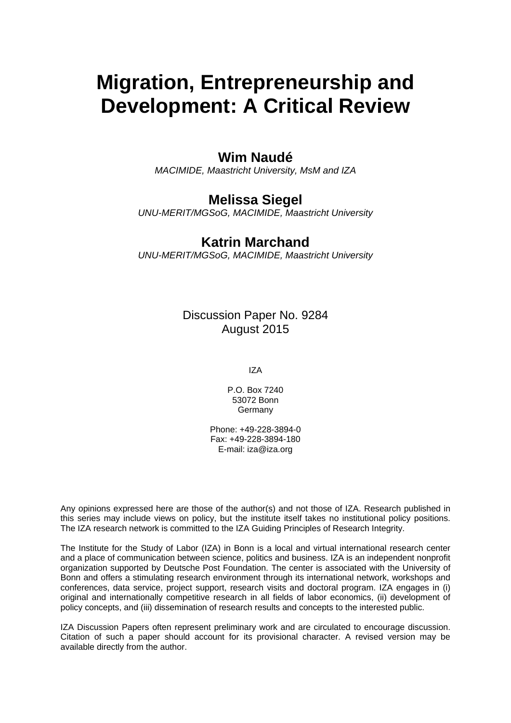# **Migration, Entrepreneurship and Development: A Critical Review**

## **Wim Naudé**

*MACIMIDE, Maastricht University, MsM and IZA* 

## **Melissa Siegel**

*UNU-MERIT/MGSoG, MACIMIDE, Maastricht University* 

#### **Katrin Marchand**

*UNU-MERIT/MGSoG, MACIMIDE, Maastricht University*

Discussion Paper No. 9284 August 2015

IZA

P.O. Box 7240 53072 Bonn Germany

Phone: +49-228-3894-0 Fax: +49-228-3894-180 E-mail: iza@iza.org

Any opinions expressed here are those of the author(s) and not those of IZA. Research published in this series may include views on policy, but the institute itself takes no institutional policy positions. The IZA research network is committed to the IZA Guiding Principles of Research Integrity.

The Institute for the Study of Labor (IZA) in Bonn is a local and virtual international research center and a place of communication between science, politics and business. IZA is an independent nonprofit organization supported by Deutsche Post Foundation. The center is associated with the University of Bonn and offers a stimulating research environment through its international network, workshops and conferences, data service, project support, research visits and doctoral program. IZA engages in (i) original and internationally competitive research in all fields of labor economics, (ii) development of policy concepts, and (iii) dissemination of research results and concepts to the interested public.

IZA Discussion Papers often represent preliminary work and are circulated to encourage discussion. Citation of such a paper should account for its provisional character. A revised version may be available directly from the author.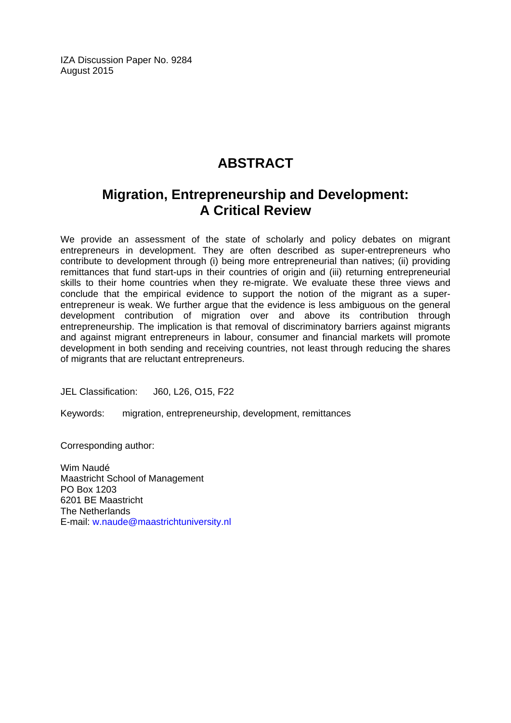IZA Discussion Paper No. 9284 August 2015

# **ABSTRACT**

# **Migration, Entrepreneurship and Development: A Critical Review**

We provide an assessment of the state of scholarly and policy debates on migrant entrepreneurs in development. They are often described as super-entrepreneurs who contribute to development through (i) being more entrepreneurial than natives; (ii) providing remittances that fund start-ups in their countries of origin and (iii) returning entrepreneurial skills to their home countries when they re-migrate. We evaluate these three views and conclude that the empirical evidence to support the notion of the migrant as a superentrepreneur is weak. We further argue that the evidence is less ambiguous on the general development contribution of migration over and above its contribution through entrepreneurship. The implication is that removal of discriminatory barriers against migrants and against migrant entrepreneurs in labour, consumer and financial markets will promote development in both sending and receiving countries, not least through reducing the shares of migrants that are reluctant entrepreneurs.

JEL Classification: J60, L26, O15, F22

Keywords: migration, entrepreneurship, development, remittances

Corresponding author:

Wim Naudé Maastricht School of Management PO Box 1203 6201 BE Maastricht The Netherlands E-mail: w.naude@maastrichtuniversity.nl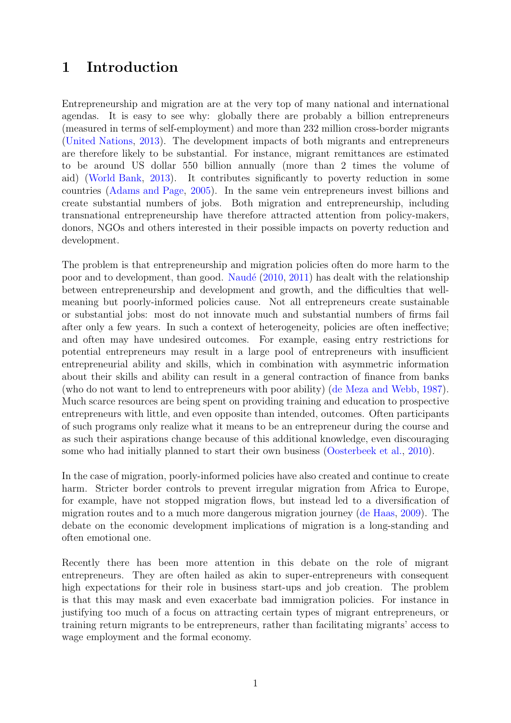# 1 Introduction

Entrepreneurship and migration are at the very top of many national and international agendas. It is easy to see why: globally there are probably a billion entrepreneurs (measured in terms of self-employment) and more than 232 million cross-border migrants [\(United Nations,](#page-24-0) [2013\)](#page-24-0). The development impacts of both migrants and entrepreneurs are therefore likely to be substantial. For instance, migrant remittances are estimated to be around US dollar 550 billion annually (more than 2 times the volume of aid) [\(World Bank,](#page-25-0) [2013\)](#page-25-0). It contributes significantly to poverty reduction in some countries [\(Adams and Page,](#page-19-0) [2005\)](#page-19-0). In the same vein entrepreneurs invest billions and create substantial numbers of jobs. Both migration and entrepreneurship, including transnational entrepreneurship have therefore attracted attention from policy-makers, donors, NGOs and others interested in their possible impacts on poverty reduction and development.

The problem is that entrepreneurship and migration policies often do more harm to the poor and to development, than good. Naudé  $(2010, 2011)$  $(2010, 2011)$  $(2010, 2011)$  has dealt with the relationship between entrepreneurship and development and growth, and the difficulties that wellmeaning but poorly-informed policies cause. Not all entrepreneurs create sustainable or substantial jobs: most do not innovate much and substantial numbers of firms fail after only a few years. In such a context of heterogeneity, policies are often ineffective; and often may have undesired outcomes. For example, easing entry restrictions for potential entrepreneurs may result in a large pool of entrepreneurs with insufficient entrepreneurial ability and skills, which in combination with asymmetric information about their skills and ability can result in a general contraction of finance from banks (who do not want to lend to entrepreneurs with poor ability) [\(de Meza and Webb,](#page-20-0) [1987\)](#page-20-0). Much scarce resources are being spent on providing training and education to prospective entrepreneurs with little, and even opposite than intended, outcomes. Often participants of such programs only realize what it means to be an entrepreneur during the course and as such their aspirations change because of this additional knowledge, even discouraging some who had initially planned to start their own business [\(Oosterbeek et al.,](#page-23-2) [2010\)](#page-23-2).

In the case of migration, poorly-informed policies have also created and continue to create harm. Stricter border controls to prevent irregular migration from Africa to Europe, for example, have not stopped migration flows, but instead led to a diversification of migration routes and to a much more dangerous migration journey [\(de Haas,](#page-20-1) [2009\)](#page-20-1). The debate on the economic development implications of migration is a long-standing and often emotional one.

Recently there has been more attention in this debate on the role of migrant entrepreneurs. They are often hailed as akin to super-entrepreneurs with consequent high expectations for their role in business start-ups and job creation. The problem is that this may mask and even exacerbate bad immigration policies. For instance in justifying too much of a focus on attracting certain types of migrant entrepreneurs, or training return migrants to be entrepreneurs, rather than facilitating migrants' access to wage employment and the formal economy.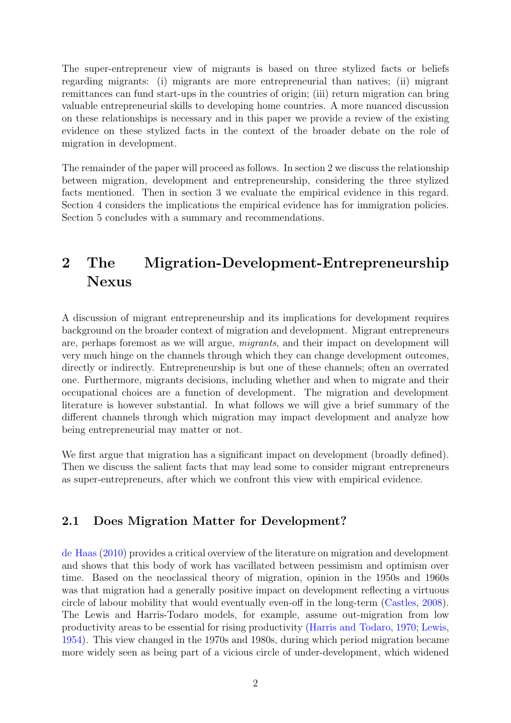The super-entrepreneur view of migrants is based on three stylized facts or beliefs regarding migrants: (i) migrants are more entrepreneurial than natives; (ii) migrant remittances can fund start-ups in the countries of origin; (iii) return migration can bring valuable entrepreneurial skills to developing home countries. A more nuanced discussion on these relationships is necessary and in this paper we provide a review of the existing evidence on these stylized facts in the context of the broader debate on the role of migration in development.

The remainder of the paper will proceed as follows. In section 2 we discuss the relationship between migration, development and entrepreneurship, considering the three stylized facts mentioned. Then in section 3 we evaluate the empirical evidence in this regard. Section 4 considers the implications the empirical evidence has for immigration policies. Section 5 concludes with a summary and recommendations.

# 2 The Migration-Development-Entrepreneurship Nexus

A discussion of migrant entrepreneurship and its implications for development requires background on the broader context of migration and development. Migrant entrepreneurs are, perhaps foremost as we will argue, migrants, and their impact on development will very much hinge on the channels through which they can change development outcomes, directly or indirectly. Entrepreneurship is but one of these channels; often an overrated one. Furthermore, migrants decisions, including whether and when to migrate and their occupational choices are a function of development. The migration and development literature is however substantial. In what follows we will give a brief summary of the different channels through which migration may impact development and analyze how being entrepreneurial may matter or not.

We first argue that migration has a significant impact on development (broadly defined). Then we discuss the salient facts that may lead some to consider migrant entrepreneurs as super-entrepreneurs, after which we confront this view with empirical evidence.

#### 2.1 Does Migration Matter for Development?

[de Haas](#page-20-2) [\(2010\)](#page-20-2) provides a critical overview of the literature on migration and development and shows that this body of work has vacillated between pessimism and optimism over time. Based on the neoclassical theory of migration, opinion in the 1950s and 1960s was that migration had a generally positive impact on development reflecting a virtuous circle of labour mobility that would eventually even-off in the long-term [\(Castles,](#page-20-3) [2008\)](#page-20-3). The Lewis and Harris-Todaro models, for example, assume out-migration from low productivity areas to be essential for rising productivity [\(Harris and Todaro,](#page-21-0) [1970;](#page-21-0) [Lewis,](#page-22-0) [1954\)](#page-22-0). This view changed in the 1970s and 1980s, during which period migration became more widely seen as being part of a vicious circle of under-development, which widened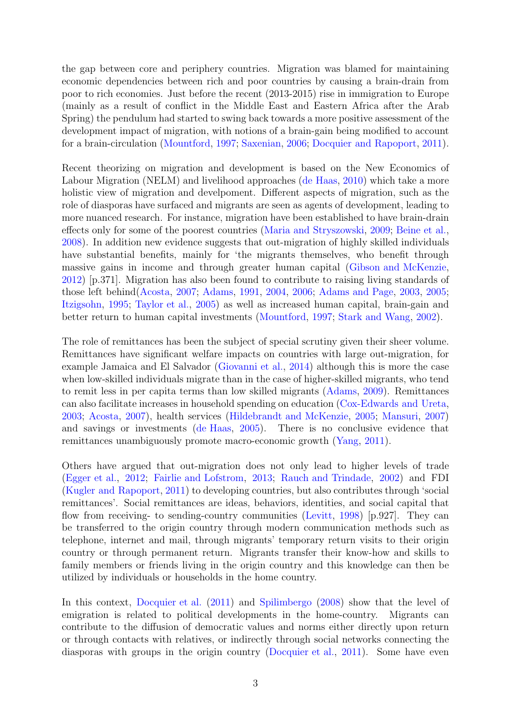the gap between core and periphery countries. Migration was blamed for maintaining economic dependencies between rich and poor countries by causing a brain-drain from poor to rich economies. Just before the recent (2013-2015) rise in immigration to Europe (mainly as a result of conflict in the Middle East and Eastern Africa after the Arab Spring) the pendulum had started to swing back towards a more positive assessment of the development impact of migration, with notions of a brain-gain being modified to account for a brain-circulation [\(Mountford,](#page-23-3) [1997;](#page-23-3) [Saxenian,](#page-24-1) [2006;](#page-24-1) [Docquier and Rapoport,](#page-21-1) [2011\)](#page-21-1).

Recent theorizing on migration and development is based on the New Economics of Labour Migration (NELM) and livelihood approaches [\(de Haas,](#page-20-2) [2010\)](#page-20-2) which take a more holistic view of migration and develpoment. Different aspects of migration, such as the role of diasporas have surfaced and migrants are seen as agents of development, leading to more nuanced research. For instance, migration have been established to have brain-drain effects only for some of the poorest countries [\(Maria and Stryszowski,](#page-23-4) [2009;](#page-23-4) [Beine et al.,](#page-19-1) [2008\)](#page-19-1). In addition new evidence suggests that out-migration of highly skilled individuals have substantial benefits, mainly for 'the migrants themselves, who benefit through massive gains in income and through greater human capital [\(Gibson and McKenzie,](#page-21-2) [2012\)](#page-21-2) [p.371]. Migration has also been found to contribute to raising living standards of those left behind[\(Acosta,](#page-19-2) [2007;](#page-19-2) [Adams,](#page-19-3) [1991,](#page-19-3) [2004,](#page-19-4) [2006;](#page-19-5) [Adams and Page,](#page-19-6) [2003,](#page-19-6) [2005;](#page-19-0) [Itzigsohn,](#page-22-1) [1995;](#page-22-1) [Taylor et al.,](#page-24-2) [2005\)](#page-24-2) as well as increased human capital, brain-gain and better return to human capital investments [\(Mountford,](#page-23-3) [1997;](#page-23-3) [Stark and Wang,](#page-24-3) [2002\)](#page-24-3).

The role of remittances has been the subject of special scrutiny given their sheer volume. Remittances have significant welfare impacts on countries with large out-migration, for example Jamaica and El Salvador [\(Giovanni et al.,](#page-21-3) [2014\)](#page-21-3) although this is more the case when low-skilled individuals migrate than in the case of higher-skilled migrants, who tend to remit less in per capita terms than low skilled migrants [\(Adams,](#page-19-7) [2009\)](#page-19-7). Remittances can also facilitate increases in household spending on education [\(Cox-Edwards and Ureta,](#page-20-4) [2003;](#page-20-4) [Acosta,](#page-19-2) [2007\)](#page-19-2), health services [\(Hildebrandt and McKenzie,](#page-22-2) [2005;](#page-22-2) [Mansuri,](#page-22-3) [2007\)](#page-22-3) and savings or investments [\(de Haas,](#page-20-5) [2005\)](#page-20-5). There is no conclusive evidence that remittances unambiguously promote macro-economic growth [\(Yang,](#page-25-1) [2011\)](#page-25-1).

Others have argued that out-migration does not only lead to higher levels of trade [\(Egger et al.,](#page-21-4) [2012;](#page-21-4) [Fairlie and Lofstrom,](#page-21-5) [2013;](#page-21-5) [Rauch and Trindade,](#page-24-4) [2002\)](#page-24-4) and FDI [\(Kugler and Rapoport,](#page-22-4) [2011\)](#page-22-4) to developing countries, but also contributes through 'social remittances'. Social remittances are ideas, behaviors, identities, and social capital that flow from receiving- to sending-country communities [\(Levitt,](#page-22-5) [1998\)](#page-22-5) [p.927]. They can be transferred to the origin country through modern communication methods such as telephone, internet and mail, through migrants' temporary return visits to their origin country or through permanent return. Migrants transfer their know-how and skills to family members or friends living in the origin country and this knowledge can then be utilized by individuals or households in the home country.

In this context, [Docquier et al.](#page-21-6) [\(2011\)](#page-21-6) and [Spilimbergo](#page-24-5) [\(2008\)](#page-24-5) show that the level of emigration is related to political developments in the home-country. Migrants can contribute to the diffusion of democratic values and norms either directly upon return or through contacts with relatives, or indirectly through social networks connecting the diasporas with groups in the origin country [\(Docquier et al.,](#page-21-6) [2011\)](#page-21-6). Some have even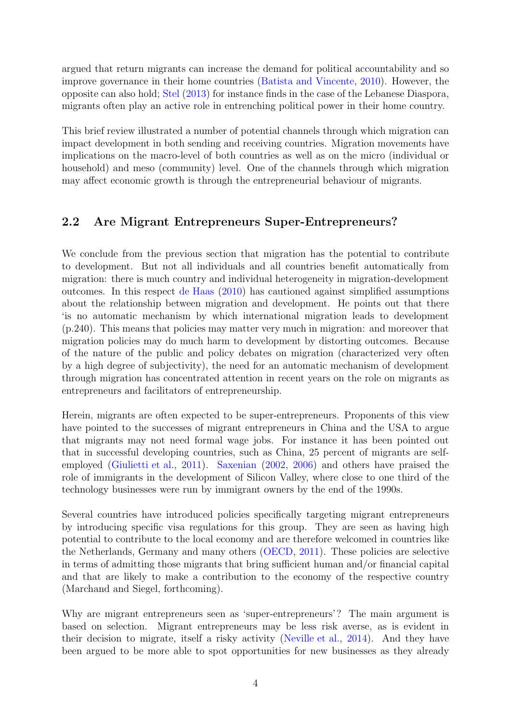argued that return migrants can increase the demand for political accountability and so improve governance in their home countries [\(Batista and Vincente,](#page-19-8) [2010\)](#page-19-8). However, the opposite can also hold; [Stel](#page-24-6) [\(2013\)](#page-24-6) for instance finds in the case of the Lebanese Diaspora, migrants often play an active role in entrenching political power in their home country.

This brief review illustrated a number of potential channels through which migration can impact development in both sending and receiving countries. Migration movements have implications on the macro-level of both countries as well as on the micro (individual or household) and meso (community) level. One of the channels through which migration may affect economic growth is through the entrepreneurial behaviour of migrants.

#### 2.2 Are Migrant Entrepreneurs Super-Entrepreneurs?

We conclude from the previous section that migration has the potential to contribute to development. But not all individuals and all countries benefit automatically from migration: there is much country and individual heterogeneity in migration-development outcomes. In this respect [de Haas](#page-20-2) [\(2010\)](#page-20-2) has cautioned against simplified assumptions about the relationship between migration and development. He points out that there 'is no automatic mechanism by which international migration leads to development (p.240). This means that policies may matter very much in migration: and moreover that migration policies may do much harm to development by distorting outcomes. Because of the nature of the public and policy debates on migration (characterized very often by a high degree of subjectivity), the need for an automatic mechanism of development through migration has concentrated attention in recent years on the role on migrants as entrepreneurs and facilitators of entrepreneurship.

Herein, migrants are often expected to be super-entrepreneurs. Proponents of this view have pointed to the successes of migrant entrepreneurs in China and the USA to argue that migrants may not need formal wage jobs. For instance it has been pointed out that in successful developing countries, such as China, 25 percent of migrants are selfemployed [\(Giulietti et al.,](#page-21-7) [2011\)](#page-21-7). [Saxenian](#page-24-7) [\(2002,](#page-24-7) [2006\)](#page-24-1) and others have praised the role of immigrants in the development of Silicon Valley, where close to one third of the technology businesses were run by immigrant owners by the end of the 1990s.

Several countries have introduced policies specifically targeting migrant entrepreneurs by introducing specific visa regulations for this group. They are seen as having high potential to contribute to the local economy and are therefore welcomed in countries like the Netherlands, Germany and many others [\(OECD,](#page-23-5) [2011\)](#page-23-5). These policies are selective in terms of admitting those migrants that bring sufficient human and/or financial capital and that are likely to make a contribution to the economy of the respective country (Marchand and Siegel, forthcoming).

Why are migrant entrepreneurs seen as 'super-entrepreneurs'? The main argument is based on selection. Migrant entrepreneurs may be less risk averse, as is evident in their decision to migrate, itself a risky activity [\(Neville et al.,](#page-23-6) [2014\)](#page-23-6). And they have been argued to be more able to spot opportunities for new businesses as they already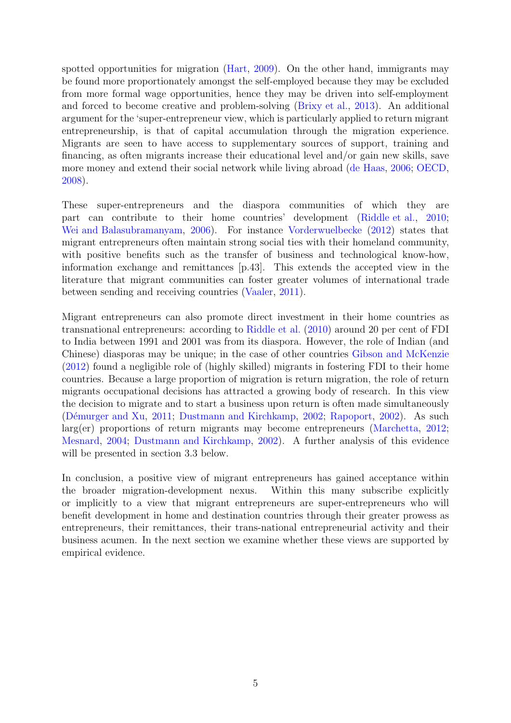spotted opportunities for migration [\(Hart,](#page-22-6) [2009\)](#page-22-6). On the other hand, immigrants may be found more proportionately amongst the self-employed because they may be excluded from more formal wage opportunities, hence they may be driven into self-employment and forced to become creative and problem-solving [\(Brixy et al.,](#page-20-6) [2013\)](#page-20-6). An additional argument for the 'super-entrepreneur view, which is particularly applied to return migrant entrepreneurship, is that of capital accumulation through the migration experience. Migrants are seen to have access to supplementary sources of support, training and financing, as often migrants increase their educational level and/or gain new skills, save more money and extend their social network while living abroad [\(de Haas,](#page-20-7) [2006;](#page-20-7) [OECD,](#page-23-7) [2008\)](#page-23-7).

These super-entrepreneurs and the diaspora communities of which they are part can contribute to their home countries' development [\(Riddle et al.,](#page-24-8) [2010;](#page-24-8) [Wei and Balasubramanyam,](#page-25-2) [2006\)](#page-25-2). For instance [Vorderwuelbecke](#page-24-9) [\(2012\)](#page-24-9) states that migrant entrepreneurs often maintain strong social ties with their homeland community, with positive benefits such as the transfer of business and technological know-how, information exchange and remittances [p.43]. This extends the accepted view in the literature that migrant communities can foster greater volumes of international trade between sending and receiving countries [\(Vaaler,](#page-24-10) [2011\)](#page-24-10).

Migrant entrepreneurs can also promote direct investment in their home countries as transnational entrepreneurs: according to [Riddle et al.](#page-24-8) [\(2010\)](#page-24-8) around 20 per cent of FDI to India between 1991 and 2001 was from its diaspora. However, the role of Indian (and Chinese) diasporas may be unique; in the case of other countries [Gibson and McKenzie](#page-21-2) [\(2012\)](#page-21-2) found a negligible role of (highly skilled) migrants in fostering FDI to their home countries. Because a large proportion of migration is return migration, the role of return migrants occupational decisions has attracted a growing body of research. In this view the decision to migrate and to start a business upon return is often made simultaneously (Démurger and Xu, [2011;](#page-21-8) [Dustmann and Kirchkamp,](#page-21-9) [2002;](#page-21-9) [Rapoport,](#page-24-11) [2002\)](#page-24-11). As such larg(er) proportions of return migrants may become entrepreneurs [\(Marchetta,](#page-22-7) [2012;](#page-22-7) [Mesnard,](#page-23-8) [2004;](#page-23-8) [Dustmann and Kirchkamp,](#page-21-9) [2002\)](#page-21-9). A further analysis of this evidence will be presented in section 3.3 below.

In conclusion, a positive view of migrant entrepreneurs has gained acceptance within the broader migration-development nexus. Within this many subscribe explicitly or implicitly to a view that migrant entrepreneurs are super-entrepreneurs who will benefit development in home and destination countries through their greater prowess as entrepreneurs, their remittances, their trans-national entrepreneurial activity and their business acumen. In the next section we examine whether these views are supported by empirical evidence.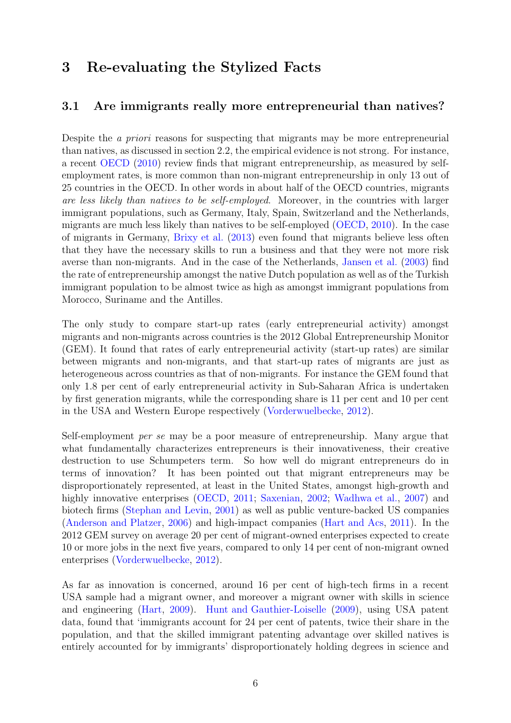# 3 Re-evaluating the Stylized Facts

#### 3.1 Are immigrants really more entrepreneurial than natives?

Despite the a priori reasons for suspecting that migrants may be more entrepreneurial than natives, as discussed in section 2.2, the empirical evidence is not strong. For instance, a recent [OECD](#page-23-9) [\(2010\)](#page-23-9) review finds that migrant entrepreneurship, as measured by selfemployment rates, is more common than non-migrant entrepreneurship in only 13 out of 25 countries in the OECD. In other words in about half of the OECD countries, migrants are less likely than natives to be self-employed. Moreover, in the countries with larger immigrant populations, such as Germany, Italy, Spain, Switzerland and the Netherlands, migrants are much less likely than natives to be self-employed [\(OECD,](#page-23-9) [2010\)](#page-23-9). In the case of migrants in Germany, [Brixy et al.](#page-20-6) [\(2013\)](#page-20-6) even found that migrants believe less often that they have the necessary skills to run a business and that they were not more risk averse than non-migrants. And in the case of the Netherlands, [Jansen et al.](#page-22-8) [\(2003\)](#page-22-8) find the rate of entrepreneurship amongst the native Dutch population as well as of the Turkish immigrant population to be almost twice as high as amongst immigrant populations from Morocco, Suriname and the Antilles.

The only study to compare start-up rates (early entrepreneurial activity) amongst migrants and non-migrants across countries is the 2012 Global Entrepreneurship Monitor (GEM). It found that rates of early entrepreneurial activity (start-up rates) are similar between migrants and non-migrants, and that start-up rates of migrants are just as heterogeneous across countries as that of non-migrants. For instance the GEM found that only 1.8 per cent of early entrepreneurial activity in Sub-Saharan Africa is undertaken by first generation migrants, while the corresponding share is 11 per cent and 10 per cent in the USA and Western Europe respectively [\(Vorderwuelbecke,](#page-24-9) [2012\)](#page-24-9).

Self-employment per se may be a poor measure of entrepreneurship. Many argue that what fundamentally characterizes entrepreneurs is their innovativeness, their creative destruction to use Schumpeters term. So how well do migrant entrepreneurs do in terms of innovation? It has been pointed out that migrant entrepreneurs may be disproportionately represented, at least in the United States, amongst high-growth and highly innovative enterprises [\(OECD,](#page-23-5) [2011;](#page-23-5) [Saxenian,](#page-24-7) [2002;](#page-24-7) [Wadhwa et al.,](#page-24-12) [2007\)](#page-24-12) and biotech firms [\(Stephan and Levin,](#page-24-13) [2001\)](#page-24-13) as well as public venture-backed US companies [\(Anderson and Platzer,](#page-19-9) [2006\)](#page-19-9) and high-impact companies [\(Hart and Acs,](#page-22-9) [2011\)](#page-22-9). In the 2012 GEM survey on average 20 per cent of migrant-owned enterprises expected to create 10 or more jobs in the next five years, compared to only 14 per cent of non-migrant owned enterprises [\(Vorderwuelbecke,](#page-24-9) [2012\)](#page-24-9).

As far as innovation is concerned, around 16 per cent of high-tech firms in a recent USA sample had a migrant owner, and moreover a migrant owner with skills in science and engineering [\(Hart,](#page-22-6) [2009\)](#page-22-6). [Hunt and Gauthier-Loiselle](#page-22-10) [\(2009\)](#page-22-10), using USA patent data, found that 'immigrants account for 24 per cent of patents, twice their share in the population, and that the skilled immigrant patenting advantage over skilled natives is entirely accounted for by immigrants' disproportionately holding degrees in science and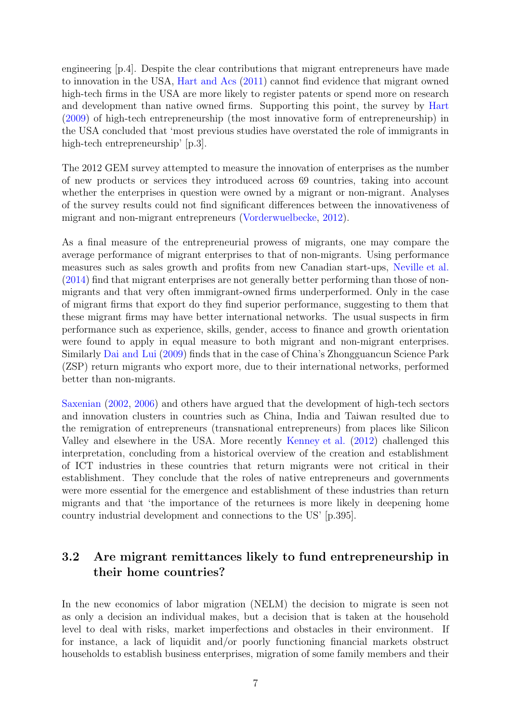engineering [p.4]. Despite the clear contributions that migrant entrepreneurs have made to innovation in the USA, [Hart and Acs](#page-22-9) [\(2011\)](#page-22-9) cannot find evidence that migrant owned high-tech firms in the USA are more likely to register patents or spend more on research and development than native owned firms. Supporting this point, the survey by [Hart](#page-22-6) [\(2009\)](#page-22-6) of high-tech entrepreneurship (the most innovative form of entrepreneurship) in the USA concluded that 'most previous studies have overstated the role of immigrants in high-tech entrepreneurship' [p.3].

The 2012 GEM survey attempted to measure the innovation of enterprises as the number of new products or services they introduced across 69 countries, taking into account whether the enterprises in question were owned by a migrant or non-migrant. Analyses of the survey results could not find significant differences between the innovativeness of migrant and non-migrant entrepreneurs [\(Vorderwuelbecke,](#page-24-9) [2012\)](#page-24-9).

As a final measure of the entrepreneurial prowess of migrants, one may compare the average performance of migrant enterprises to that of non-migrants. Using performance measures such as sales growth and profits from new Canadian start-ups, [Neville et al.](#page-23-6) [\(2014\)](#page-23-6) find that migrant enterprises are not generally better performing than those of nonmigrants and that very often immigrant-owned firms underperformed. Only in the case of migrant firms that export do they find superior performance, suggesting to them that these migrant firms may have better international networks. The usual suspects in firm performance such as experience, skills, gender, access to finance and growth orientation were found to apply in equal measure to both migrant and non-migrant enterprises. Similarly [Dai and Lui](#page-20-8) [\(2009\)](#page-20-8) finds that in the case of China's Zhongguancun Science Park (ZSP) return migrants who export more, due to their international networks, performed better than non-migrants.

[Saxenian](#page-24-7) [\(2002,](#page-24-7) [2006\)](#page-24-1) and others have argued that the development of high-tech sectors and innovation clusters in countries such as China, India and Taiwan resulted due to the remigration of entrepreneurs (transnational entrepreneurs) from places like Silicon Valley and elsewhere in the USA. More recently [Kenney et al.](#page-22-11) [\(2012\)](#page-22-11) challenged this interpretation, concluding from a historical overview of the creation and establishment of ICT industries in these countries that return migrants were not critical in their establishment. They conclude that the roles of native entrepreneurs and governments were more essential for the emergence and establishment of these industries than return migrants and that 'the importance of the returnees is more likely in deepening home country industrial development and connections to the US' [p.395].

#### 3.2 Are migrant remittances likely to fund entrepreneurship in their home countries?

In the new economics of labor migration (NELM) the decision to migrate is seen not as only a decision an individual makes, but a decision that is taken at the household level to deal with risks, market imperfections and obstacles in their environment. If for instance, a lack of liquidit and/or poorly functioning financial markets obstruct households to establish business enterprises, migration of some family members and their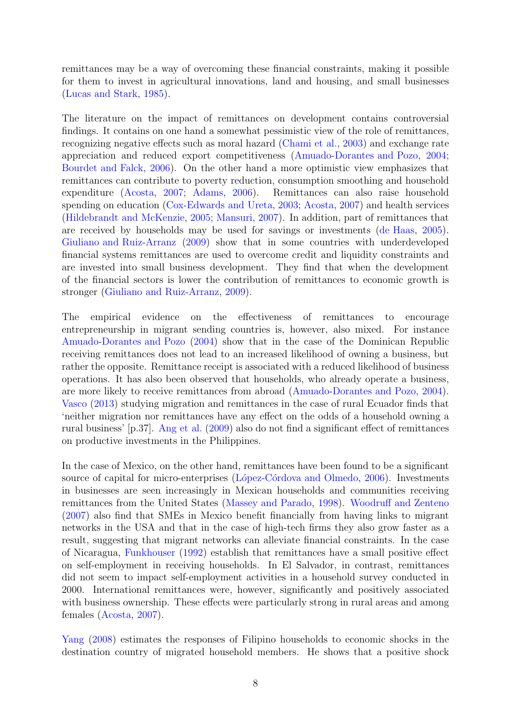remittances may be a way of overcoming these financial constraints, making it possible for them to invest in agricultural innovations, land and housing, and small businesses [\(Lucas and Stark,](#page-22-12) [1985\)](#page-22-12).

The literature on the impact of remittances on development contains controversial findings. It contains on one hand a somewhat pessimistic view of the role of remittances, recognizing negative effects such as moral hazard [\(Chami et al.,](#page-20-9) [2003\)](#page-20-9) and exchange rate appreciation and reduced export competitiveness [\(Amuado-Dorantes and Pozo,](#page-19-10) [2004;](#page-19-10) [Bourdet and Falck,](#page-20-10) [2006\)](#page-20-10). On the other hand a more optimistic view emphasizes that remittances can contribute to poverty reduction, consumption smoothing and household expenditure [\(Acosta,](#page-19-2) [2007;](#page-19-2) [Adams,](#page-19-5) [2006\)](#page-19-5). Remittances can also raise household spending on education [\(Cox-Edwards and Ureta,](#page-20-4) [2003;](#page-20-4) [Acosta,](#page-19-2) [2007\)](#page-19-2) and health services [\(Hildebrandt and McKenzie,](#page-22-2) [2005;](#page-22-2) [Mansuri,](#page-22-3) [2007\)](#page-22-3). In addition, part of remittances that are received by households may be used for savings or investments [\(de Haas,](#page-20-5) [2005\)](#page-20-5). [Giuliano and Ruiz-Arranz](#page-21-10) [\(2009\)](#page-21-10) show that in some countries with underdeveloped financial systems remittances are used to overcome credit and liquidity constraints and are invested into small business development. They find that when the development of the financial sectors is lower the contribution of remittances to economic growth is stronger [\(Giuliano and Ruiz-Arranz,](#page-21-10) [2009\)](#page-21-10).

The empirical evidence on the effectiveness of remittances to encourage entrepreneurship in migrant sending countries is, however, also mixed. For instance [Amuado-Dorantes and Pozo](#page-19-10) [\(2004\)](#page-19-10) show that in the case of the Dominican Republic receiving remittances does not lead to an increased likelihood of owning a business, but rather the opposite. Remittance receipt is associated with a reduced likelihood of business operations. It has also been observed that households, who already operate a business, are more likely to receive remittances from abroad [\(Amuado-Dorantes and Pozo,](#page-19-10) [2004\)](#page-19-10). [Vasco](#page-24-14) [\(2013\)](#page-24-14) studying migration and remittances in the case of rural Ecuador finds that 'neither migration nor remittances have any effect on the odds of a household owning a rural business' [p.37]. [Ang et al.](#page-19-11) [\(2009\)](#page-19-11) also do not find a significant effect of remittances on productive investments in the Philippines.

In the case of Mexico, on the other hand, remittances have been found to be a significant source of capital for micro-enterprises (López-Córdova and Olmedo, [2006\)](#page-22-13). Investments in businesses are seen increasingly in Mexican households and communities receiving remittances from the United States [\(Massey and Parado,](#page-23-10) [1998\)](#page-23-10). [Woodruff and Zenteno](#page-25-3) [\(2007\)](#page-25-3) also find that SMEs in Mexico benefit financially from having links to migrant networks in the USA and that in the case of high-tech firms they also grow faster as a result, suggesting that migrant networks can alleviate financial constraints. In the case of Nicaragua, [Funkhouser](#page-21-11) [\(1992\)](#page-21-11) establish that remittances have a small positive effect on self-employment in receiving households. In El Salvador, in contrast, remittances did not seem to impact self-employment activities in a household survey conducted in 2000. International remittances were, however, significantly and positively associated with business ownership. These effects were particularly strong in rural areas and among females [\(Acosta,](#page-19-2) [2007\)](#page-19-2).

[Yang](#page-25-4) [\(2008\)](#page-25-4) estimates the responses of Filipino households to economic shocks in the destination country of migrated household members. He shows that a positive shock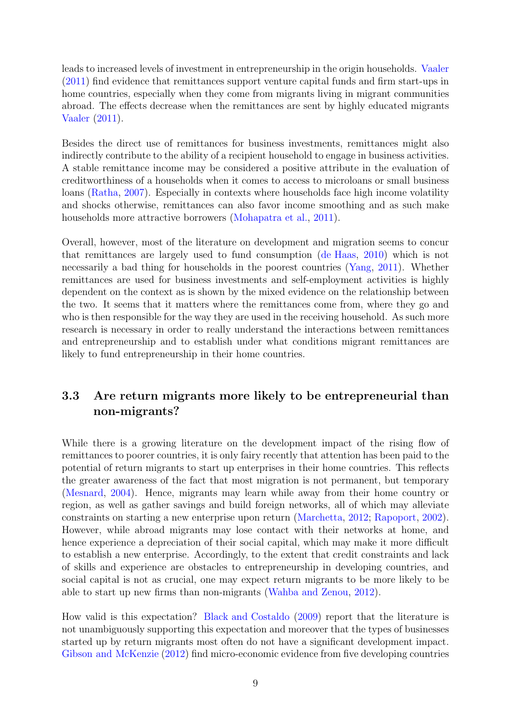leads to increased levels of investment in entrepreneurship in the origin households. [Vaaler](#page-24-10) [\(2011\)](#page-24-10) find evidence that remittances support venture capital funds and firm start-ups in home countries, especially when they come from migrants living in migrant communities abroad. The effects decrease when the remittances are sent by highly educated migrants [Vaaler](#page-24-10) [\(2011\)](#page-24-10).

Besides the direct use of remittances for business investments, remittances might also indirectly contribute to the ability of a recipient household to engage in business activities. A stable remittance income may be considered a positive attribute in the evaluation of creditworthiness of a households when it comes to access to microloans or small business loans [\(Ratha,](#page-24-15) [2007\)](#page-24-15). Especially in contexts where households face high income volatility and shocks otherwise, remittances can also favor income smoothing and as such make households more attractive borrowers [\(Mohapatra et al.,](#page-23-11) [2011\)](#page-23-11).

Overall, however, most of the literature on development and migration seems to concur that remittances are largely used to fund consumption [\(de Haas,](#page-20-2) [2010\)](#page-20-2) which is not necessarily a bad thing for households in the poorest countries [\(Yang,](#page-25-1) [2011\)](#page-25-1). Whether remittances are used for business investments and self-employment activities is highly dependent on the context as is shown by the mixed evidence on the relationship between the two. It seems that it matters where the remittances come from, where they go and who is then responsible for the way they are used in the receiving household. As such more research is necessary in order to really understand the interactions between remittances and entrepreneurship and to establish under what conditions migrant remittances are likely to fund entrepreneurship in their home countries.

#### 3.3 Are return migrants more likely to be entrepreneurial than non-migrants?

While there is a growing literature on the development impact of the rising flow of remittances to poorer countries, it is only fairy recently that attention has been paid to the potential of return migrants to start up enterprises in their home countries. This reflects the greater awareness of the fact that most migration is not permanent, but temporary [\(Mesnard,](#page-23-8) [2004\)](#page-23-8). Hence, migrants may learn while away from their home country or region, as well as gather savings and build foreign networks, all of which may alleviate constraints on starting a new enterprise upon return [\(Marchetta,](#page-22-7) [2012;](#page-22-7) [Rapoport,](#page-24-11) [2002\)](#page-24-11). However, while abroad migrants may lose contact with their networks at home, and hence experience a depreciation of their social capital, which may make it more difficult to establish a new enterprise. Accordingly, to the extent that credit constraints and lack of skills and experience are obstacles to entrepreneurship in developing countries, and social capital is not as crucial, one may expect return migrants to be more likely to be able to start up new firms than non-migrants [\(Wahba and Zenou,](#page-25-5) [2012\)](#page-25-5).

How valid is this expectation? [Black and Costaldo](#page-19-12) [\(2009\)](#page-19-12) report that the literature is not unambiguously supporting this expectation and moreover that the types of businesses started up by return migrants most often do not have a significant development impact. [Gibson and McKenzie](#page-21-2) [\(2012\)](#page-21-2) find micro-economic evidence from five developing countries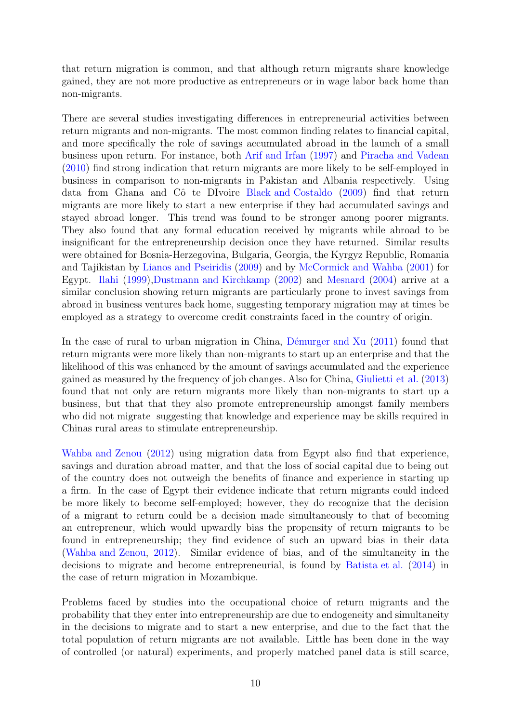that return migration is common, and that although return migrants share knowledge gained, they are not more productive as entrepreneurs or in wage labor back home than non-migrants.

There are several studies investigating differences in entrepreneurial activities between return migrants and non-migrants. The most common finding relates to financial capital, and more specifically the role of savings accumulated abroad in the launch of a small business upon return. For instance, both [Arif and Irfan](#page-19-13) [\(1997\)](#page-19-13) and [Piracha and Vadean](#page-23-12) [\(2010\)](#page-23-12) find strong indication that return migrants are more likely to be self-employed in business in comparison to non-migrants in Pakistan and Albania respectively. Using data from Ghana and Côte DIvoire [Black and Costaldo](#page-19-12) [\(2009\)](#page-19-12) find that return migrants are more likely to start a new enterprise if they had accumulated savings and stayed abroad longer. This trend was found to be stronger among poorer migrants. They also found that any formal education received by migrants while abroad to be insignificant for the entrepreneurship decision once they have returned. Similar results were obtained for Bosnia-Herzegovina, Bulgaria, Georgia, the Kyrgyz Republic, Romania and Tajikistan by [Lianos and Pseiridis](#page-22-14) [\(2009\)](#page-22-14) and by [McCormick and Wahba](#page-23-13) [\(2001\)](#page-23-13) for Egypt. [Ilahi](#page-22-15) [\(1999\)](#page-22-15)[,Dustmann and Kirchkamp](#page-21-9) [\(2002\)](#page-21-9) and [Mesnard](#page-23-8) [\(2004\)](#page-23-8) arrive at a similar conclusion showing return migrants are particularly prone to invest savings from abroad in business ventures back home, suggesting temporary migration may at times be employed as a strategy to overcome credit constraints faced in the country of origin.

In the case of rural to urban migration in China, Démurger and Xu  $(2011)$  found that return migrants were more likely than non-migrants to start up an enterprise and that the likelihood of this was enhanced by the amount of savings accumulated and the experience gained as measured by the frequency of job changes. Also for China, [Giulietti et al.](#page-21-12) [\(2013\)](#page-21-12) found that not only are return migrants more likely than non-migrants to start up a business, but that that they also promote entrepreneurship amongst family members who did not migrate suggesting that knowledge and experience may be skills required in Chinas rural areas to stimulate entrepreneurship.

[Wahba and Zenou](#page-25-5) [\(2012\)](#page-25-5) using migration data from Egypt also find that experience, savings and duration abroad matter, and that the loss of social capital due to being out of the country does not outweigh the benefits of finance and experience in starting up a firm. In the case of Egypt their evidence indicate that return migrants could indeed be more likely to become self-employed; however, they do recognize that the decision of a migrant to return could be a decision made simultaneously to that of becoming an entrepreneur, which would upwardly bias the propensity of return migrants to be found in entrepreneurship; they find evidence of such an upward bias in their data [\(Wahba and Zenou,](#page-25-5) [2012\)](#page-25-5). Similar evidence of bias, and of the simultaneity in the decisions to migrate and become entrepreneurial, is found by [Batista et al.](#page-19-14) [\(2014\)](#page-19-14) in the case of return migration in Mozambique.

Problems faced by studies into the occupational choice of return migrants and the probability that they enter into entrepreneurship are due to endogeneity and simultaneity in the decisions to migrate and to start a new enterprise, and due to the fact that the total population of return migrants are not available. Little has been done in the way of controlled (or natural) experiments, and properly matched panel data is still scarce,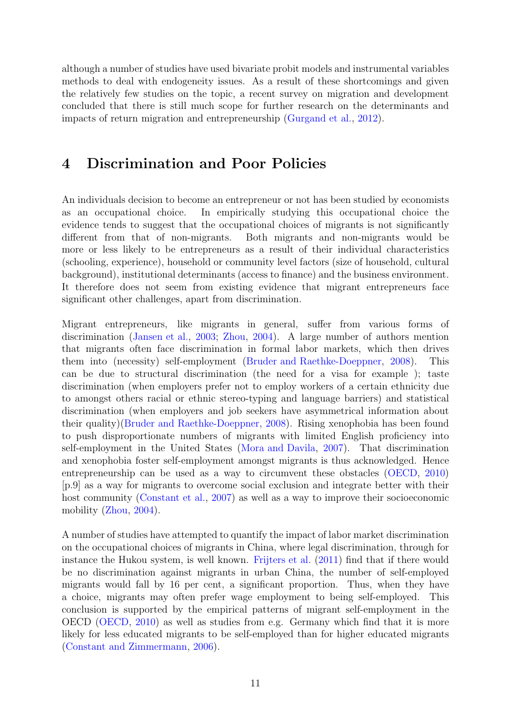although a number of studies have used bivariate probit models and instrumental variables methods to deal with endogeneity issues. As a result of these shortcomings and given the relatively few studies on the topic, a recent survey on migration and development concluded that there is still much scope for further research on the determinants and impacts of return migration and entrepreneurship [\(Gurgand et al.,](#page-21-13) [2012\)](#page-21-13).

### 4 Discrimination and Poor Policies

An individuals decision to become an entrepreneur or not has been studied by economists as an occupational choice. In empirically studying this occupational choice the evidence tends to suggest that the occupational choices of migrants is not significantly different from that of non-migrants. Both migrants and non-migrants would be more or less likely to be entrepreneurs as a result of their individual characteristics (schooling, experience), household or community level factors (size of household, cultural background), institutional determinants (access to finance) and the business environment. It therefore does not seem from existing evidence that migrant entrepreneurs face significant other challenges, apart from discrimination.

Migrant entrepreneurs, like migrants in general, suffer from various forms of discrimination [\(Jansen et al.,](#page-22-8) [2003;](#page-22-8) [Zhou,](#page-25-6) [2004\)](#page-25-6). A large number of authors mention that migrants often face discrimination in formal labor markets, which then drives them into (necessity) self-employment [\(Bruder and Raethke-Doeppner,](#page-20-11) [2008\)](#page-20-11). This can be due to structural discrimination (the need for a visa for example ); taste discrimination (when employers prefer not to employ workers of a certain ethnicity due to amongst others racial or ethnic stereo-typing and language barriers) and statistical discrimination (when employers and job seekers have asymmetrical information about their quality)[\(Bruder and Raethke-Doeppner,](#page-20-11) [2008\)](#page-20-11). Rising xenophobia has been found to push disproportionate numbers of migrants with limited English proficiency into self-employment in the United States [\(Mora and Davila,](#page-23-14) [2007\)](#page-23-14). That discrimination and xenophobia foster self-employment amongst migrants is thus acknowledged. Hence entrepreneurship can be used as a way to circumvent these obstacles [\(OECD,](#page-23-9) [2010\)](#page-23-9) [p.9] as a way for migrants to overcome social exclusion and integrate better with their host community [\(Constant et al.,](#page-20-12) [2007\)](#page-20-12) as well as a way to improve their socioeconomic mobility [\(Zhou,](#page-25-6) [2004\)](#page-25-6).

A number of studies have attempted to quantify the impact of labor market discrimination on the occupational choices of migrants in China, where legal discrimination, through for instance the Hukou system, is well known. [Frijters et al.](#page-21-14) [\(2011\)](#page-21-14) find that if there would be no discrimination against migrants in urban China, the number of self-employed migrants would fall by 16 per cent, a significant proportion. Thus, when they have a choice, migrants may often prefer wage employment to being self-employed. This conclusion is supported by the empirical patterns of migrant self-employment in the OECD [\(OECD,](#page-23-9) [2010\)](#page-23-9) as well as studies from e.g. Germany which find that it is more likely for less educated migrants to be self-employed than for higher educated migrants [\(Constant and Zimmermann,](#page-20-13) [2006\)](#page-20-13).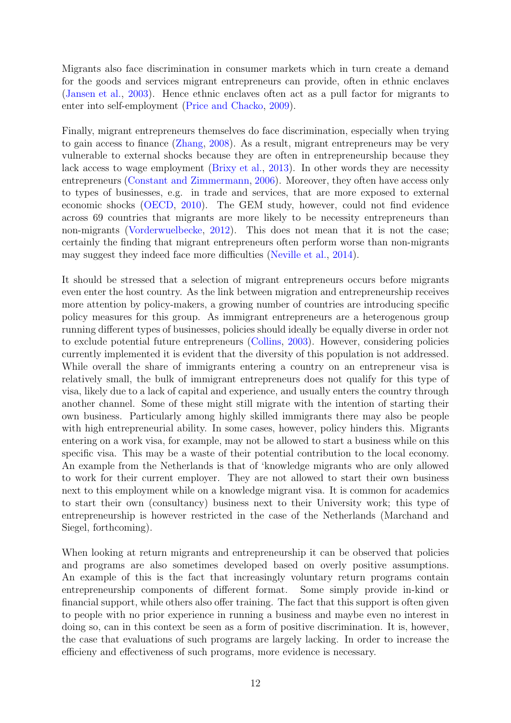Migrants also face discrimination in consumer markets which in turn create a demand for the goods and services migrant entrepreneurs can provide, often in ethnic enclaves [\(Jansen et al.,](#page-22-8) [2003\)](#page-22-8). Hence ethnic enclaves often act as a pull factor for migrants to enter into self-employment [\(Price and Chacko,](#page-23-15) [2009\)](#page-23-15).

Finally, migrant entrepreneurs themselves do face discrimination, especially when trying to gain access to finance [\(Zhang,](#page-25-7) [2008\)](#page-25-7). As a result, migrant entrepreneurs may be very vulnerable to external shocks because they are often in entrepreneurship because they lack access to wage employment [\(Brixy et al.,](#page-20-6) [2013\)](#page-20-6). In other words they are necessity entrepreneurs [\(Constant and Zimmermann,](#page-20-13) [2006\)](#page-20-13). Moreover, they often have access only to types of businesses, e.g. in trade and services, that are more exposed to external economic shocks [\(OECD,](#page-23-9) [2010\)](#page-23-9). The GEM study, however, could not find evidence across 69 countries that migrants are more likely to be necessity entrepreneurs than non-migrants [\(Vorderwuelbecke,](#page-24-9) [2012\)](#page-24-9). This does not mean that it is not the case; certainly the finding that migrant entrepreneurs often perform worse than non-migrants may suggest they indeed face more difficulties [\(Neville et al.,](#page-23-6) [2014\)](#page-23-6).

It should be stressed that a selection of migrant entrepreneurs occurs before migrants even enter the host country. As the link between migration and entrepreneurship receives more attention by policy-makers, a growing number of countries are introducing specific policy measures for this group. As immigrant entrepreneurs are a heterogenous group running different types of businesses, policies should ideally be equally diverse in order not to exclude potential future entrepreneurs [\(Collins,](#page-20-14) [2003\)](#page-20-14). However, considering policies currently implemented it is evident that the diversity of this population is not addressed. While overall the share of immigrants entering a country on an entrepreneur visa is relatively small, the bulk of immigrant entrepreneurs does not qualify for this type of visa, likely due to a lack of capital and experience, and usually enters the country through another channel. Some of these might still migrate with the intention of starting their own business. Particularly among highly skilled immigrants there may also be people with high entrepreneurial ability. In some cases, however, policy hinders this. Migrants entering on a work visa, for example, may not be allowed to start a business while on this specific visa. This may be a waste of their potential contribution to the local economy. An example from the Netherlands is that of 'knowledge migrants who are only allowed to work for their current employer. They are not allowed to start their own business next to this employment while on a knowledge migrant visa. It is common for academics to start their own (consultancy) business next to their University work; this type of entrepreneurship is however restricted in the case of the Netherlands (Marchand and Siegel, forthcoming).

When looking at return migrants and entrepreneurship it can be observed that policies and programs are also sometimes developed based on overly positive assumptions. An example of this is the fact that increasingly voluntary return programs contain entrepreneurship components of different format. Some simply provide in-kind or financial support, while others also offer training. The fact that this support is often given to people with no prior experience in running a business and maybe even no interest in doing so, can in this context be seen as a form of positive discrimination. It is, however, the case that evaluations of such programs are largely lacking. In order to increase the efficieny and effectiveness of such programs, more evidence is necessary.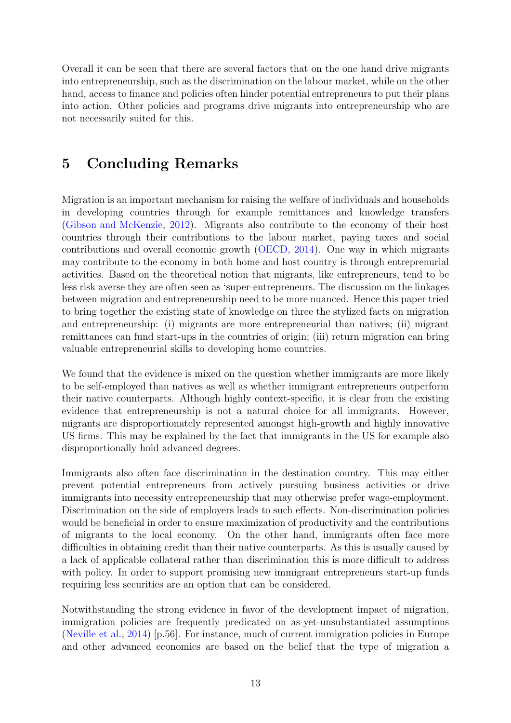Overall it can be seen that there are several factors that on the one hand drive migrants into entrepreneurship, such as the discrimination on the labour market, while on the other hand, access to finance and policies often hinder potential entrepreneurs to put their plans into action. Other policies and programs drive migrants into entrepreneurship who are not necessarily suited for this.

# 5 Concluding Remarks

Migration is an important mechanism for raising the welfare of individuals and households in developing countries through for example remittances and knowledge transfers [\(Gibson and McKenzie,](#page-21-2) [2012\)](#page-21-2). Migrants also contribute to the economy of their host countries through their contributions to the labour market, paying taxes and social contributions and overall economic growth [\(OECD,](#page-23-16) [2014\)](#page-23-16). One way in which migrants may contribute to the economy in both home and host country is through entreprenurial activities. Based on the theoretical notion that migrants, like entrepreneurs, tend to be less risk averse they are often seen as 'super-entrepreneurs. The discussion on the linkages between migration and entrepreneurship need to be more nuanced. Hence this paper tried to bring together the existing state of knowledge on three the stylized facts on migration and entrepreneurship: (i) migrants are more entrepreneurial than natives; (ii) migrant remittances can fund start-ups in the countries of origin; (iii) return migration can bring valuable entrepreneurial skills to developing home countries.

We found that the evidence is mixed on the question whether immigrants are more likely to be self-employed than natives as well as whether immigrant entrepreneurs outperform their native counterparts. Although highly context-specific, it is clear from the existing evidence that entrepreneurship is not a natural choice for all immigrants. However, migrants are disproportionately represented amongst high-growth and highly innovative US firms. This may be explained by the fact that immigrants in the US for example also disproportionally hold advanced degrees.

Immigrants also often face discrimination in the destination country. This may either prevent potential entrepreneurs from actively pursuing business activities or drive immigrants into necessity entrepreneurship that may otherwise prefer wage-employment. Discrimination on the side of employers leads to such effects. Non-discrimination policies would be beneficial in order to ensure maximization of productivity and the contributions of migrants to the local economy. On the other hand, immigrants often face more difficulties in obtaining credit than their native counterparts. As this is usually caused by a lack of applicable collateral rather than discrimination this is more difficult to address with policy. In order to support promising new immigrant entrepreneurs start-up funds requiring less securities are an option that can be considered.

Notwithstanding the strong evidence in favor of the development impact of migration, immigration policies are frequently predicated on as-yet-unsubstantiated assumptions [\(Neville et al.,](#page-23-6) [2014\)](#page-23-6) [p.56]. For instance, much of current immigration policies in Europe and other advanced economies are based on the belief that the type of migration a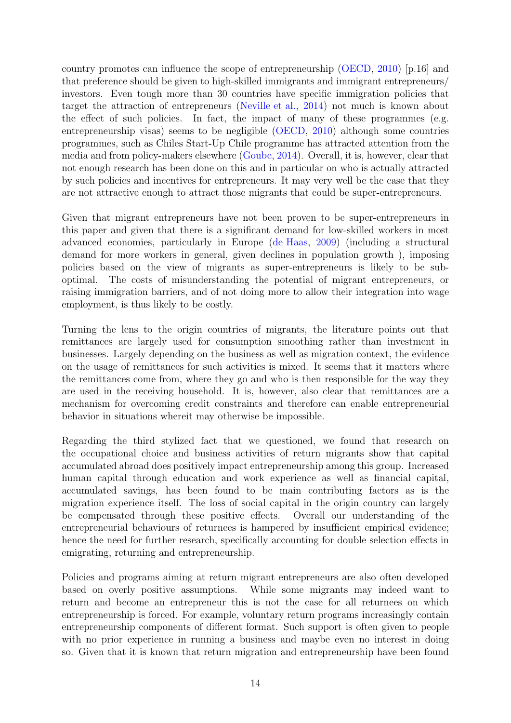country promotes can influence the scope of entrepreneurship [\(OECD,](#page-23-9) [2010\)](#page-23-9) [p.16] and that preference should be given to high-skilled immigrants and immigrant entrepreneurs/ investors. Even tough more than 30 countries have specific immigration policies that target the attraction of entrepreneurs [\(Neville et al.,](#page-23-6) [2014\)](#page-23-6) not much is known about the effect of such policies. In fact, the impact of many of these programmes (e.g. entrepreneurship visas) seems to be negligible [\(OECD,](#page-23-9) [2010\)](#page-23-9) although some countries programmes, such as Chiles Start-Up Chile programme has attracted attention from the media and from policy-makers elsewhere [\(Goube,](#page-21-15) [2014\)](#page-21-15). Overall, it is, however, clear that not enough research has been done on this and in particular on who is actually attracted by such policies and incentives for entrepreneurs. It may very well be the case that they are not attractive enough to attract those migrants that could be super-entrepreneurs.

Given that migrant entrepreneurs have not been proven to be super-entrepreneurs in this paper and given that there is a significant demand for low-skilled workers in most advanced economies, particularly in Europe [\(de Haas,](#page-20-1) [2009\)](#page-20-1) (including a structural demand for more workers in general, given declines in population growth ), imposing policies based on the view of migrants as super-entrepreneurs is likely to be suboptimal. The costs of misunderstanding the potential of migrant entrepreneurs, or raising immigration barriers, and of not doing more to allow their integration into wage employment, is thus likely to be costly.

Turning the lens to the origin countries of migrants, the literature points out that remittances are largely used for consumption smoothing rather than investment in businesses. Largely depending on the business as well as migration context, the evidence on the usage of remittances for such activities is mixed. It seems that it matters where the remittances come from, where they go and who is then responsible for the way they are used in the receiving household. It is, however, also clear that remittances are a mechanism for overcoming credit constraints and therefore can enable entrepreneurial behavior in situations whereit may otherwise be impossible.

Regarding the third stylized fact that we questioned, we found that research on the occupational choice and business activities of return migrants show that capital accumulated abroad does positively impact entrepreneurship among this group. Increased human capital through education and work experience as well as financial capital, accumulated savings, has been found to be main contributing factors as is the migration experience itself. The loss of social capital in the origin country can largely be compensated through these positive effects. Overall our understanding of the entrepreneurial behaviours of returnees is hampered by insufficient empirical evidence; hence the need for further research, specifically accounting for double selection effects in emigrating, returning and entrepreneurship.

Policies and programs aiming at return migrant entrepreneurs are also often developed based on overly positive assumptions. While some migrants may indeed want to return and become an entrepreneur this is not the case for all returnees on which entrepreneurship is forced. For example, voluntary return programs increasingly contain entrepreneurship components of different format. Such support is often given to people with no prior experience in running a business and maybe even no interest in doing so. Given that it is known that return migration and entrepreneurship have been found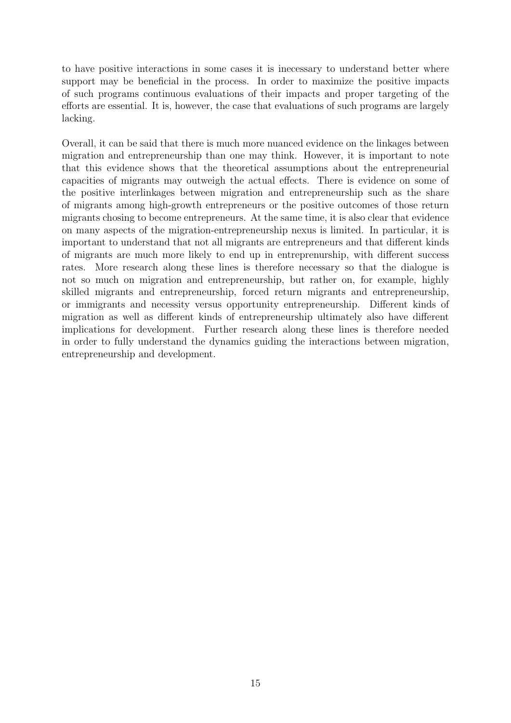to have positive interactions in some cases it is inecessary to understand better where support may be beneficial in the process. In order to maximize the positive impacts of such programs continuous evaluations of their impacts and proper targeting of the efforts are essential. It is, however, the case that evaluations of such programs are largely lacking.

Overall, it can be said that there is much more nuanced evidence on the linkages between migration and entrepreneurship than one may think. However, it is important to note that this evidence shows that the theoretical assumptions about the entrepreneurial capacities of migrants may outweigh the actual effects. There is evidence on some of the positive interlinkages between migration and entrepreneurship such as the share of migrants among high-growth entrepreneurs or the positive outcomes of those return migrants chosing to become entrepreneurs. At the same time, it is also clear that evidence on many aspects of the migration-entrepreneurship nexus is limited. In particular, it is important to understand that not all migrants are entrepreneurs and that different kinds of migrants are much more likely to end up in entreprenurship, with different success rates. More research along these lines is therefore necessary so that the dialogue is not so much on migration and entrepreneurship, but rather on, for example, highly skilled migrants and entrepreneurship, forced return migrants and entrepreneurship, or immigrants and necessity versus opportunity entrepreneurship. Different kinds of migration as well as different kinds of entrepreneurship ultimately also have different implications for development. Further research along these lines is therefore needed in order to fully understand the dynamics guiding the interactions between migration, entrepreneurship and development.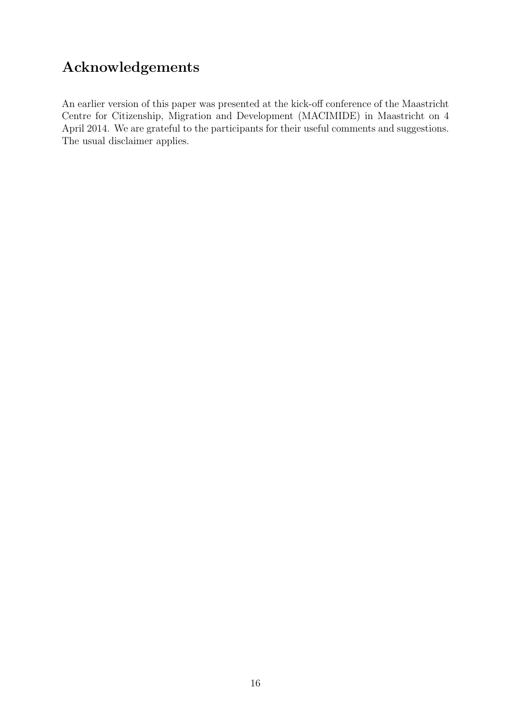# Acknowledgements

An earlier version of this paper was presented at the kick-off conference of the Maastricht Centre for Citizenship, Migration and Development (MACIMIDE) in Maastricht on 4 April 2014. We are grateful to the participants for their useful comments and suggestions. The usual disclaimer applies.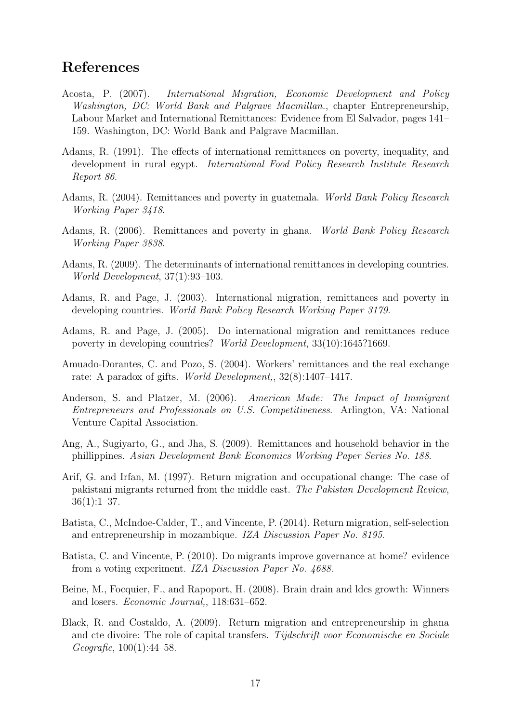## References

- <span id="page-19-2"></span>Acosta, P. (2007). International Migration, Economic Development and Policy Washington, DC: World Bank and Palgrave Macmillan., chapter Entrepreneurship, Labour Market and International Remittances: Evidence from El Salvador, pages 141– 159. Washington, DC: World Bank and Palgrave Macmillan.
- <span id="page-19-3"></span>Adams, R. (1991). The effects of international remittances on poverty, inequality, and development in rural egypt. International Food Policy Research Institute Research Report 86.
- <span id="page-19-4"></span>Adams, R. (2004). Remittances and poverty in guatemala. World Bank Policy Research Working Paper 3418.
- <span id="page-19-5"></span>Adams, R. (2006). Remittances and poverty in ghana. World Bank Policy Research Working Paper 3838.
- <span id="page-19-7"></span>Adams, R. (2009). The determinants of international remittances in developing countries. World Development, 37(1):93–103.
- <span id="page-19-6"></span>Adams, R. and Page, J. (2003). International migration, remittances and poverty in developing countries. World Bank Policy Research Working Paper 3179.
- <span id="page-19-0"></span>Adams, R. and Page, J. (2005). Do international migration and remittances reduce poverty in developing countries? World Development, 33(10):1645?1669.
- <span id="page-19-10"></span>Amuado-Dorantes, C. and Pozo, S. (2004). Workers' remittances and the real exchange rate: A paradox of gifts. *World Development*,,  $32(8):1407-1417$ .
- <span id="page-19-9"></span>Anderson, S. and Platzer, M. (2006). American Made: The Impact of Immigrant Entrepreneurs and Professionals on U.S. Competitiveness. Arlington, VA: National Venture Capital Association.
- <span id="page-19-11"></span>Ang, A., Sugiyarto, G., and Jha, S. (2009). Remittances and household behavior in the phillippines. Asian Development Bank Economics Working Paper Series No. 188.
- <span id="page-19-13"></span>Arif, G. and Irfan, M. (1997). Return migration and occupational change: The case of pakistani migrants returned from the middle east. The Pakistan Development Review,  $36(1):1-37.$
- <span id="page-19-14"></span>Batista, C., McIndoe-Calder, T., and Vincente, P. (2014). Return migration, self-selection and entrepreneurship in mozambique. IZA Discussion Paper No. 8195.
- <span id="page-19-8"></span>Batista, C. and Vincente, P. (2010). Do migrants improve governance at home? evidence from a voting experiment. IZA Discussion Paper No. 4688.
- <span id="page-19-1"></span>Beine, M., Focquier, F., and Rapoport, H. (2008). Brain drain and ldcs growth: Winners and losers. Economic Journal,, 118:631–652.
- <span id="page-19-12"></span>Black, R. and Costaldo, A. (2009). Return migration and entrepreneurship in ghana and cte divoire: The role of capital transfers. Tijdschrift voor Economische en Sociale Geografie, 100(1):44–58.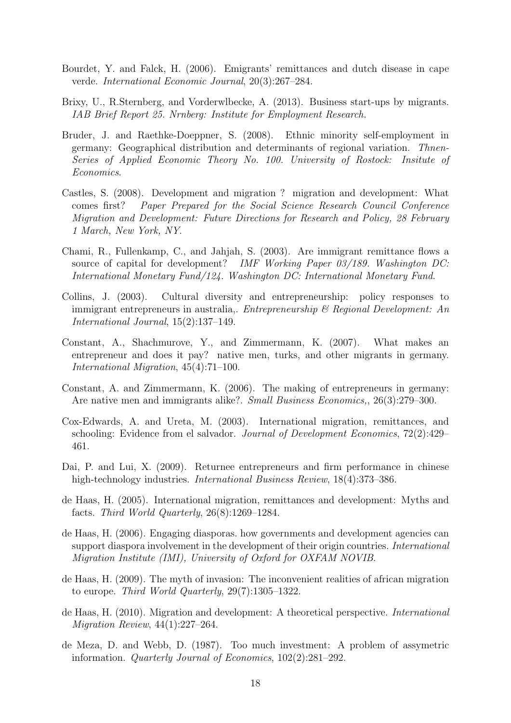- <span id="page-20-10"></span>Bourdet, Y. and Falck, H. (2006). Emigrants' remittances and dutch disease in cape verde. International Economic Journal, 20(3):267–284.
- <span id="page-20-6"></span>Brixy, U., R.Sternberg, and Vorderwlbecke, A. (2013). Business start-ups by migrants. IAB Brief Report 25. Nrnberg: Institute for Employment Research.
- <span id="page-20-11"></span>Bruder, J. and Raethke-Doeppner, S. (2008). Ethnic minority self-employment in germany: Geographical distribution and determinants of regional variation. Thnen-Series of Applied Economic Theory No. 100. University of Rostock: Insitute of Economics.
- <span id="page-20-3"></span>Castles, S. (2008). Development and migration ? migration and development: What comes first? Paper Prepared for the Social Science Research Council Conference Migration and Development: Future Directions for Research and Policy, 28 February 1 March, New York, NY.
- <span id="page-20-9"></span>Chami, R., Fullenkamp, C., and Jahjah, S. (2003). Are immigrant remittance flows a source of capital for development? IMF Working Paper 03/189. Washington DC: International Monetary Fund/124. Washington DC: International Monetary Fund.
- <span id="page-20-14"></span>Collins, J. (2003). Cultural diversity and entrepreneurship: policy responses to immigrant entrepreneurs in australia,. *Entrepreneurship*  $\mathcal{B}$  *Regional Development: An* International Journal, 15(2):137–149.
- <span id="page-20-12"></span>Constant, A., Shachmurove, Y., and Zimmermann, K. (2007). What makes an entrepreneur and does it pay? native men, turks, and other migrants in germany. International Migration, 45(4):71–100.
- <span id="page-20-13"></span>Constant, A. and Zimmermann, K. (2006). The making of entrepreneurs in germany: Are native men and immigrants alike?. Small Business Economics,, 26(3):279–300.
- <span id="page-20-4"></span>Cox-Edwards, A. and Ureta, M. (2003). International migration, remittances, and schooling: Evidence from el salvador. Journal of Development Economics, 72(2):429– 461.
- <span id="page-20-8"></span>Dai, P. and Lui, X. (2009). Returnee entrepreneurs and firm performance in chinese high-technology industries. *International Business Review*, 18(4):373–386.
- <span id="page-20-5"></span>de Haas, H. (2005). International migration, remittances and development: Myths and facts. Third World Quarterly, 26(8):1269–1284.
- <span id="page-20-7"></span>de Haas, H. (2006). Engaging diasporas. how governments and development agencies can support diaspora involvement in the development of their origin countries. *International* Migration Institute (IMI), University of Oxford for OXFAM NOVIB.
- <span id="page-20-1"></span>de Haas, H. (2009). The myth of invasion: The inconvenient realities of african migration to europe. Third World Quarterly,  $29(7)$ :1305–1322.
- <span id="page-20-2"></span>de Haas, H. (2010). Migration and development: A theoretical perspective. International Migration Review, 44(1):227–264.
- <span id="page-20-0"></span>de Meza, D. and Webb, D. (1987). Too much investment: A problem of assymetric information. Quarterly Journal of Economics, 102(2):281–292.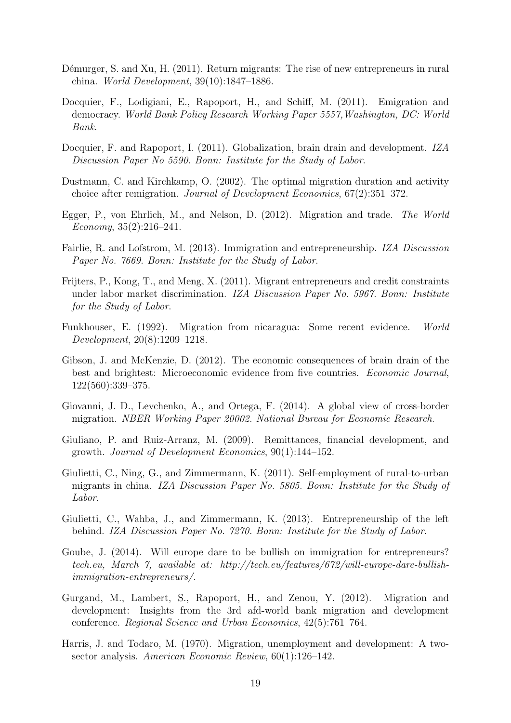- <span id="page-21-8"></span>Démurger, S. and Xu, H. (2011). Return migrants: The rise of new entrepreneurs in rural china. World Development, 39(10):1847–1886.
- <span id="page-21-6"></span>Docquier, F., Lodigiani, E., Rapoport, H., and Schiff, M. (2011). Emigration and democracy. World Bank Policy Research Working Paper 5557,Washington, DC: World Bank.
- <span id="page-21-1"></span>Docquier, F. and Rapoport, I. (2011). Globalization, brain drain and development. IZA Discussion Paper No 5590. Bonn: Institute for the Study of Labor.
- <span id="page-21-9"></span>Dustmann, C. and Kirchkamp, O. (2002). The optimal migration duration and activity choice after remigration. Journal of Development Economics, 67(2):351–372.
- <span id="page-21-4"></span>Egger, P., von Ehrlich, M., and Nelson, D. (2012). Migration and trade. The World Economy, 35(2):216–241.
- <span id="page-21-5"></span>Fairlie, R. and Lofstrom, M. (2013). Immigration and entrepreneurship. IZA Discussion Paper No. 7669. Bonn: Institute for the Study of Labor.
- <span id="page-21-14"></span>Frijters, P., Kong, T., and Meng, X. (2011). Migrant entrepreneurs and credit constraints under labor market discrimination. IZA Discussion Paper No. 5967. Bonn: Institute for the Study of Labor.
- <span id="page-21-11"></span>Funkhouser, E. (1992). Migration from nicaragua: Some recent evidence. World Development, 20(8):1209–1218.
- <span id="page-21-2"></span>Gibson, J. and McKenzie, D. (2012). The economic consequences of brain drain of the best and brightest: Microeconomic evidence from five countries. Economic Journal, 122(560):339–375.
- <span id="page-21-3"></span>Giovanni, J. D., Levchenko, A., and Ortega, F. (2014). A global view of cross-border migration. NBER Working Paper 20002. National Bureau for Economic Research.
- <span id="page-21-10"></span>Giuliano, P. and Ruiz-Arranz, M. (2009). Remittances, financial development, and growth. Journal of Development Economics, 90(1):144–152.
- <span id="page-21-7"></span>Giulietti, C., Ning, G., and Zimmermann, K. (2011). Self-employment of rural-to-urban migrants in china. IZA Discussion Paper No. 5805. Bonn: Institute for the Study of Labor.
- <span id="page-21-12"></span>Giulietti, C., Wahba, J., and Zimmermann, K. (2013). Entrepreneurship of the left behind. IZA Discussion Paper No. 7270. Bonn: Institute for the Study of Labor.
- <span id="page-21-15"></span>Goube, J. (2014). Will europe dare to be bullish on immigration for entrepreneurs? tech.eu, March 7, available at: http://tech.eu/features/672/will-europe-dare-bullishimmigration-entrepreneurs/.
- <span id="page-21-13"></span>Gurgand, M., Lambert, S., Rapoport, H., and Zenou, Y. (2012). Migration and development: Insights from the 3rd afd-world bank migration and development conference. Regional Science and Urban Economics, 42(5):761–764.
- <span id="page-21-0"></span>Harris, J. and Todaro, M. (1970). Migration, unemployment and development: A twosector analysis. American Economic Review, 60(1):126–142.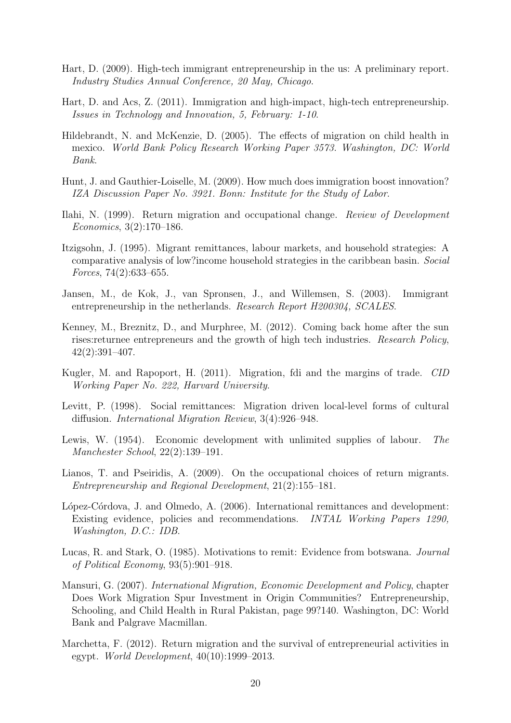- <span id="page-22-6"></span>Hart, D. (2009). High-tech immigrant entrepreneurship in the us: A preliminary report. Industry Studies Annual Conference, 20 May, Chicago.
- <span id="page-22-9"></span>Hart, D. and Acs, Z. (2011). Immigration and high-impact, high-tech entrepreneurship. Issues in Technology and Innovation, 5, February: 1-10.
- <span id="page-22-2"></span>Hildebrandt, N. and McKenzie, D. (2005). The effects of migration on child health in mexico. World Bank Policy Research Working Paper 3573. Washington, DC: World Bank.
- <span id="page-22-10"></span>Hunt, J. and Gauthier-Loiselle, M. (2009). How much does immigration boost innovation? IZA Discussion Paper No. 3921. Bonn: Institute for the Study of Labor.
- <span id="page-22-15"></span>Ilahi, N. (1999). Return migration and occupational change. Review of Development Economics, 3(2):170–186.
- <span id="page-22-1"></span>Itzigsohn, J. (1995). Migrant remittances, labour markets, and household strategies: A comparative analysis of low?income household strategies in the caribbean basin. Social Forces, 74(2):633–655.
- <span id="page-22-8"></span>Jansen, M., de Kok, J., van Spronsen, J., and Willemsen, S. (2003). Immigrant entrepreneurship in the netherlands. Research Report H200304, SCALES.
- <span id="page-22-11"></span>Kenney, M., Breznitz, D., and Murphree, M. (2012). Coming back home after the sun rises:returnee entrepreneurs and the growth of high tech industries. Research Policy, 42(2):391–407.
- <span id="page-22-4"></span>Kugler, M. and Rapoport, H. (2011). Migration, fdi and the margins of trade. CID Working Paper No. 222, Harvard University.
- <span id="page-22-5"></span>Levitt, P. (1998). Social remittances: Migration driven local-level forms of cultural diffusion. International Migration Review, 3(4):926–948.
- <span id="page-22-0"></span>Lewis, W. (1954). Economic development with unlimited supplies of labour. The Manchester School, 22(2):139–191.
- <span id="page-22-14"></span>Lianos, T. and Pseiridis, A. (2009). On the occupational choices of return migrants. Entrepreneurship and Regional Development, 21(2):155–181.
- <span id="page-22-13"></span>López-Córdova, J. and Olmedo, A. (2006). International remittances and development: Existing evidence, policies and recommendations. INTAL Working Papers 1290, Washington, D.C.: IDB.
- <span id="page-22-12"></span>Lucas, R. and Stark, O. (1985). Motivations to remit: Evidence from botswana. Journal of Political Economy, 93(5):901–918.
- <span id="page-22-3"></span>Mansuri, G. (2007). International Migration, Economic Development and Policy, chapter Does Work Migration Spur Investment in Origin Communities? Entrepreneurship, Schooling, and Child Health in Rural Pakistan, page 99?140. Washington, DC: World Bank and Palgrave Macmillan.
- <span id="page-22-7"></span>Marchetta, F. (2012). Return migration and the survival of entrepreneurial activities in egypt. World Development, 40(10):1999–2013.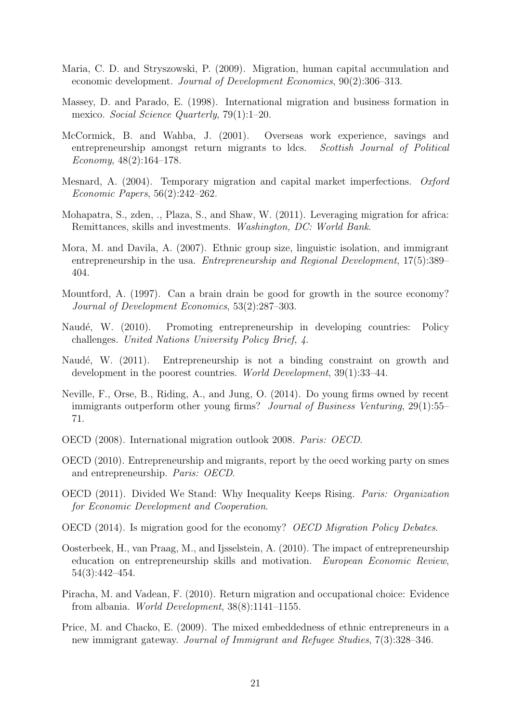- <span id="page-23-4"></span>Maria, C. D. and Stryszowski, P. (2009). Migration, human capital accumulation and economic development. Journal of Development Economics, 90(2):306–313.
- <span id="page-23-10"></span>Massey, D. and Parado, E. (1998). International migration and business formation in mexico. Social Science Quarterly, 79(1):1–20.
- <span id="page-23-13"></span>McCormick, B. and Wahba, J. (2001). Overseas work experience, savings and entrepreneurship amongst return migrants to ldcs. Scottish Journal of Political Economy,  $48(2):164-178$ .
- <span id="page-23-8"></span>Mesnard, A. (2004). Temporary migration and capital market imperfections. Oxford Economic Papers, 56(2):242–262.
- <span id="page-23-11"></span>Mohapatra, S., zden, ., Plaza, S., and Shaw, W. (2011). Leveraging migration for africa: Remittances, skills and investments. Washington, DC: World Bank.
- <span id="page-23-14"></span>Mora, M. and Davila, A. (2007). Ethnic group size, linguistic isolation, and immigrant entrepreneurship in the usa. *Entrepreneurship and Regional Development*, 17(5):389– 404.
- <span id="page-23-3"></span>Mountford, A. (1997). Can a brain drain be good for growth in the source economy? Journal of Development Economics, 53(2):287–303.
- <span id="page-23-0"></span>Naudé, W. (2010). Promoting entrepreneurship in developing countries: Policy challenges. United Nations University Policy Brief, 4.
- <span id="page-23-1"></span>Naudé, W. (2011). Entrepreneurship is not a binding constraint on growth and development in the poorest countries. World Development, 39(1):33–44.
- <span id="page-23-6"></span>Neville, F., Orse, B., Riding, A., and Jung, O. (2014). Do young firms owned by recent immigrants outperform other young firms? Journal of Business Venturing, 29(1):55– 71.
- <span id="page-23-7"></span>OECD (2008). International migration outlook 2008. Paris: OECD.
- <span id="page-23-9"></span>OECD (2010). Entrepreneurship and migrants, report by the oecd working party on smes and entrepreneurship. Paris: OECD.
- <span id="page-23-5"></span>OECD (2011). Divided We Stand: Why Inequality Keeps Rising. Paris: Organization for Economic Development and Cooperation.
- <span id="page-23-16"></span>OECD (2014). Is migration good for the economy? OECD Migration Policy Debates.
- <span id="page-23-2"></span>Oosterbeek, H., van Praag, M., and Ijsselstein, A. (2010). The impact of entrepreneurship education on entrepreneurship skills and motivation. European Economic Review, 54(3):442–454.
- <span id="page-23-12"></span>Piracha, M. and Vadean, F. (2010). Return migration and occupational choice: Evidence from albania. World Development, 38(8):1141–1155.
- <span id="page-23-15"></span>Price, M. and Chacko, E. (2009). The mixed embeddedness of ethnic entrepreneurs in a new immigrant gateway. Journal of Immigrant and Refugee Studies, 7(3):328–346.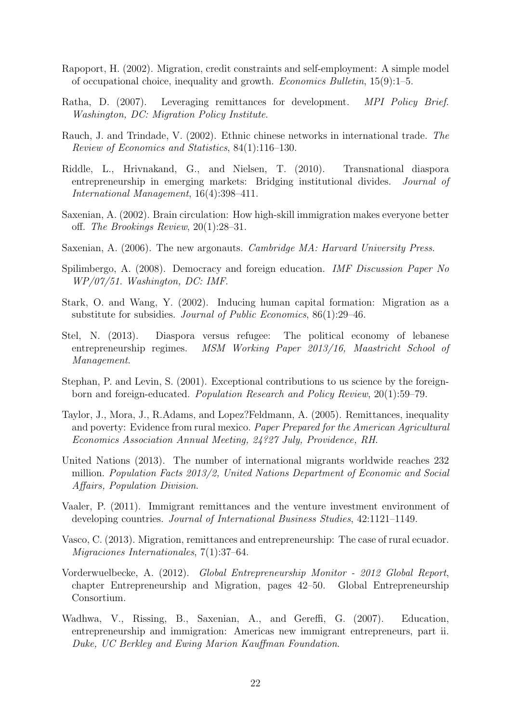- <span id="page-24-11"></span>Rapoport, H. (2002). Migration, credit constraints and self-employment: A simple model of occupational choice, inequality and growth. Economics Bulletin, 15(9):1–5.
- <span id="page-24-15"></span>Ratha, D. (2007). Leveraging remittances for development. MPI Policy Brief. Washington, DC: Migration Policy Institute.
- <span id="page-24-4"></span>Rauch, J. and Trindade, V. (2002). Ethnic chinese networks in international trade. The Review of Economics and Statistics, 84(1):116–130.
- <span id="page-24-8"></span>Riddle, L., Hrivnakand, G., and Nielsen, T. (2010). Transnational diaspora entrepreneurship in emerging markets: Bridging institutional divides. Journal of International Management, 16(4):398–411.
- <span id="page-24-7"></span>Saxenian, A. (2002). Brain circulation: How high-skill immigration makes everyone better off. The Brookings Review, 20(1):28–31.
- <span id="page-24-1"></span>Saxenian, A. (2006). The new argonauts. Cambridge MA: Harvard University Press.
- <span id="page-24-5"></span>Spilimbergo, A. (2008). Democracy and foreign education. IMF Discussion Paper No WP/07/51. Washington, DC: IMF.
- <span id="page-24-3"></span>Stark, O. and Wang, Y. (2002). Inducing human capital formation: Migration as a substitute for subsidies. Journal of Public Economics, 86(1):29–46.
- <span id="page-24-6"></span>Stel, N. (2013). Diaspora versus refugee: The political economy of lebanese entrepreneurship regimes. MSM Working Paper 2013/16, Maastricht School of Management.
- <span id="page-24-13"></span>Stephan, P. and Levin, S. (2001). Exceptional contributions to us science by the foreignborn and foreign-educated. Population Research and Policy Review, 20(1):59–79.
- <span id="page-24-2"></span>Taylor, J., Mora, J., R.Adams, and Lopez?Feldmann, A. (2005). Remittances, inequality and poverty: Evidence from rural mexico. Paper Prepared for the American Agricultural Economics Association Annual Meeting, 24?27 July, Providence, RH.
- <span id="page-24-0"></span>United Nations (2013). The number of international migrants worldwide reaches 232 million. Population Facts 2013/2, United Nations Department of Economic and Social Affairs, Population Division.
- <span id="page-24-10"></span>Vaaler, P. (2011). Immigrant remittances and the venture investment environment of developing countries. Journal of International Business Studies, 42:1121–1149.
- <span id="page-24-14"></span>Vasco, C. (2013). Migration, remittances and entrepreneurship: The case of rural ecuador. Migraciones Internationales, 7(1):37–64.
- <span id="page-24-9"></span>Vorderwuelbecke, A. (2012). Global Entrepreneurship Monitor - 2012 Global Report, chapter Entrepreneurship and Migration, pages 42–50. Global Entrepreneurship Consortium.
- <span id="page-24-12"></span>Wadhwa, V., Rissing, B., Saxenian, A., and Gereffi, G. (2007). Education, entrepreneurship and immigration: Americas new immigrant entrepreneurs, part ii. Duke, UC Berkley and Ewing Marion Kauffman Foundation.